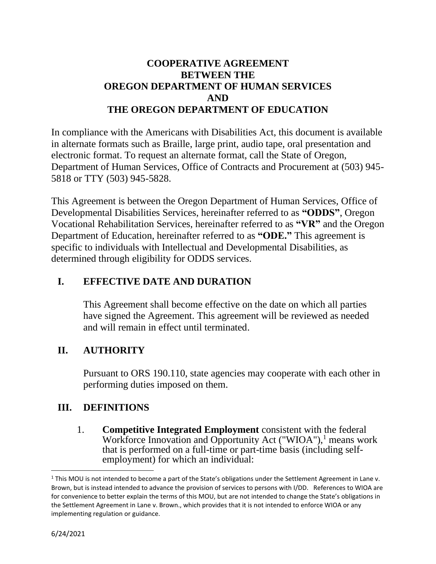## **COOPERATIVE AGREEMENT BETWEEN THE OREGON DEPARTMENT OF HUMAN SERVICES AND THE OREGON DEPARTMENT OF EDUCATION**

In compliance with the Americans with Disabilities Act, this document is available in alternate formats such as Braille, large print, audio tape, oral presentation and electronic format. To request an alternate format, call the State of Oregon, Department of Human Services, Office of Contracts and Procurement at (503) 945- 5818 or TTY (503) 945-5828.

This Agreement is between the Oregon Department of Human Services, Office of Developmental Disabilities Services, hereinafter referred to as **"ODDS"**, Oregon Vocational Rehabilitation Services, hereinafter referred to as **"VR"** and the Oregon Department of Education, hereinafter referred to as **"ODE."** This agreement is specific to individuals with Intellectual and Developmental Disabilities, as determined through eligibility for ODDS services.

# **I. EFFECTIVE DATE AND DURATION**

This Agreement shall become effective on the date on which all parties have signed the Agreement. This agreement will be reviewed as needed and will remain in effect until terminated.

# **II. AUTHORITY**

Pursuant to ORS 190.110, state agencies may cooperate with each other in performing duties imposed on them.

## **III. DEFINITIONS**

1. **Competitive Integrated Employment** consistent with the federal Workforce Innovation and Opportunity Act ("WIOA"),<sup>1</sup> means work that is performed on a full-time or part-time basis (including selfemployment) for which an individual:

 $1$  This MOU is not intended to become a part of the State's obligations under the Settlement Agreement in Lane v. Brown, but is instead intended to advance the provision of services to persons with I/DD. References to WIOA are for convenience to better explain the terms of this MOU, but are not intended to change the State's obligations in the Settlement Agreement in Lane v. Brown., which provides that it is not intended to enforce WIOA or any implementing regulation or guidance.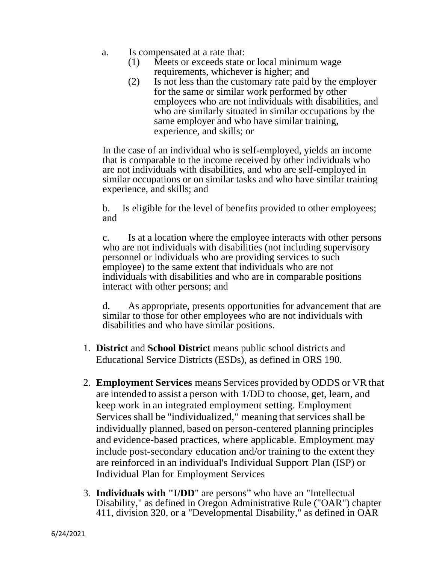- a. Is compensated at a rate that:
	- (1) Meets or exceeds state or local minimum wage requirements, whichever is higher; and
	- (2) Is not less than the customary rate paid by the employer for the same or similar work performed by other employees who are not individuals with disabilities, and who are similarly situated in similar occupations by the same employer and who have similar training, experience, and skills; or

In the case of an individual who is self-employed, yields an income that is comparable to the income received by other individuals who are not individuals with disabilities, and who are self-employed in similar occupations or on similar tasks and who have similar training experience, and skills; and

b. Is eligible for the level of benefits provided to other employees; and

c. Is at a location where the employee interacts with other persons who are not individuals with disabilities (not including supervisory personnel or individuals who are providing services to such employee) to the same extent that individuals who are not individuals with disabilities and who are in comparable positions interact with other persons; and

d. As appropriate, presents opportunities for advancement that are similar to those for other employees who are not individuals with disabilities and who have similar positions.

- 1. **District** and **School District** means public school districts and Educational Service Districts (ESDs), as defined in ORS 190.
- 2. **Employment Services** means Services provided by ODDS or VR that are intended to assist a person with 1/DD to choose, get, learn, and keep work in an integrated employment setting. Employment Services shall be "individualized," meaning that services shall be individually planned, based on person-centered planning principles and evidence-based practices, where applicable. Employment may include post-secondary education and/or training to the extent they are reinforced in an individual's Individual Support Plan (ISP) or Individual Plan for Employment Services
- 3. **Individuals with "I/DD**" are persons" who have an "Intellectual Disability," as defined in Oregon Administrative Rule ("OAR") chapter 411, division 320, or a "Developmental Disability," as defined in OAR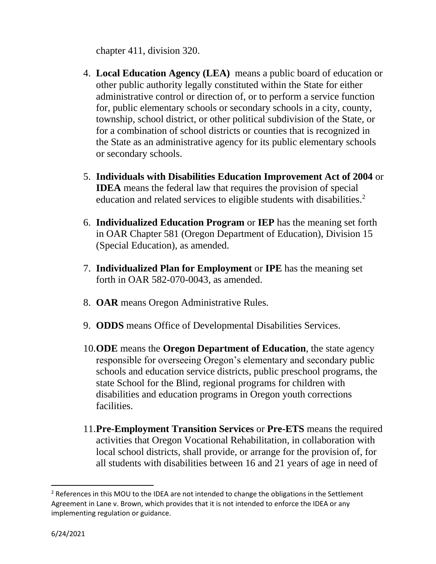chapter 411, division 320.

- 4. **Local Education Agency (LEA)** means a public board of education or other public authority legally constituted within the State for either administrative control or direction of, or to perform a service function for, public elementary schools or secondary schools in a city, county, township, school district, or other political subdivision of the State, or for a combination of school districts or counties that is recognized in the State as an administrative agency for its public elementary schools or secondary schools.
- 5. **Individuals with Disabilities Education Improvement Act of 2004** or **IDEA** means the federal law that requires the provision of special education and related services to eligible students with disabilities.<sup>2</sup>
- 6. **Individualized Education Program** or **IEP** has the meaning set forth in OAR Chapter 581 (Oregon Department of Education), Division 15 (Special Education), as amended.
- 7. **Individualized Plan for Employment** or **IPE** has the meaning set forth in OAR 582-070-0043, as amended.
- 8. **OAR** means Oregon Administrative Rules.
- 9. **ODDS** means Office of Developmental Disabilities Services.
- 10.**ODE** means the **Oregon Department of Education**, the state agency responsible for overseeing Oregon's elementary and secondary public schools and education service districts, public preschool programs, the state School for the Blind, regional programs for children with disabilities and education programs in Oregon youth corrections facilities.
- 11.**Pre-Employment Transition Services** or **Pre-ETS** means the required activities that Oregon Vocational Rehabilitation, in collaboration with local school districts, shall provide, or arrange for the provision of, for all students with disabilities between 16 and 21 years of age in need of

<sup>&</sup>lt;sup>2</sup> References in this MOU to the IDEA are not intended to change the obligations in the Settlement Agreement in Lane v. Brown, which provides that it is not intended to enforce the IDEA or any implementing regulation or guidance.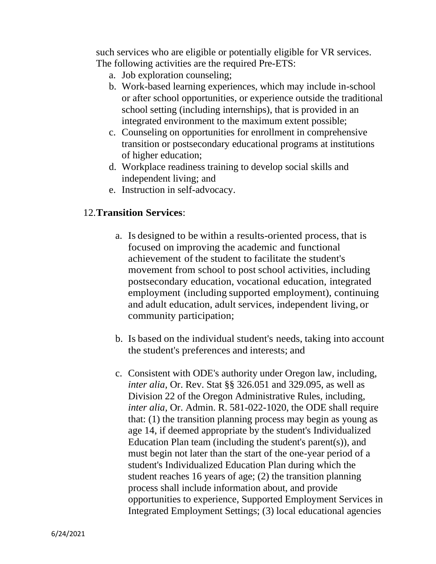such services who are eligible or potentially eligible for VR services. The following activities are the required Pre-ETS:

- a. Job exploration counseling;
- b. Work-based learning experiences, which may include in-school or after school opportunities, or experience outside the traditional school setting (including internships), that is provided in an integrated environment to the maximum extent possible;
- c. Counseling on opportunities for enrollment in comprehensive transition or postsecondary educational programs at institutions of higher education;
- d. Workplace readiness training to develop social skills and independent living; and
- e. Instruction in self-advocacy.

## 12.**Transition Services**:

- a. Is designed to be within a results-oriented process, that is focused on improving the academic and functional achievement of the student to facilitate the student's movement from school to post school activities, including postsecondary education, vocational education, integrated employment (including supported employment), continuing and adult education, adult services, independent living, or community participation;
- b. Is based on the individual student's needs, taking into account the student's preferences and interests; and
- c. Consistent with ODE's authority under Oregon law, including, *inter alia,* Or. Rev. Stat §§ 326.051 and 329.095, as well as Division 22 of the Oregon Administrative Rules, including, *inter alia,* Or. Admin. R. 581-022-1020, the ODE shall require that: (1) the transition planning process may begin as young as age 14, if deemed appropriate by the student's Individualized Education Plan team (including the student's parent(s)), and must begin not later than the start of the one-year period of a student's Individualized Education Plan during which the student reaches 16 years of age; (2) the transition planning process shall include information about, and provide opportunities to experience, Supported Employment Services in Integrated Employment Settings; (3) local educational agencies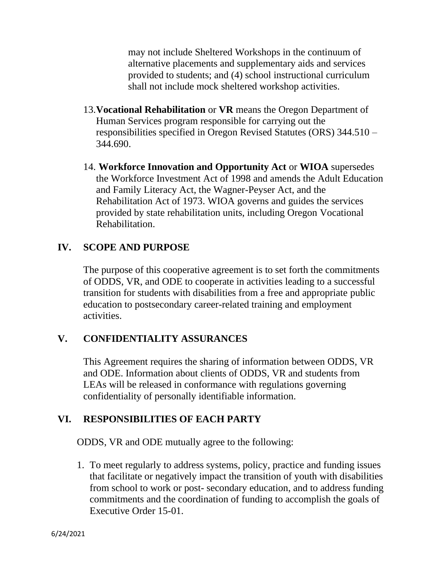may not include Sheltered Workshops in the continuum of alternative placements and supplementary aids and services provided to students; and (4) school instructional curriculum shall not include mock sheltered workshop activities.

- 13.**Vocational Rehabilitation** or **VR** means the Oregon Department of Human Services program responsible for carrying out the responsibilities specified in Oregon Revised Statutes (ORS) 344.510 – 344.690.
- 14. **Workforce Innovation and Opportunity Act** or **WIOA** supersedes the Workforce Investment Act of 1998 and amends the Adult Education and Family Literacy Act, the Wagner-Peyser Act, and the Rehabilitation Act of 1973. WIOA governs and guides the services provided by state rehabilitation units, including Oregon Vocational Rehabilitation.

## **IV. SCOPE AND PURPOSE**

The purpose of this cooperative agreement is to set forth the commitments of ODDS, VR, and ODE to cooperate in activities leading to a successful transition for students with disabilities from a free and appropriate public education to postsecondary career-related training and employment activities.

## **V. CONFIDENTIALITY ASSURANCES**

This Agreement requires the sharing of information between ODDS, VR and ODE. Information about clients of ODDS, VR and students from LEAs will be released in conformance with regulations governing confidentiality of personally identifiable information.

## **VI. RESPONSIBILITIES OF EACH PARTY**

ODDS, VR and ODE mutually agree to the following:

1. To meet regularly to address systems, policy, practice and funding issues that facilitate or negatively impact the transition of youth with disabilities from school to work or post- secondary education, and to address funding commitments and the coordination of funding to accomplish the goals of Executive Order 15-01.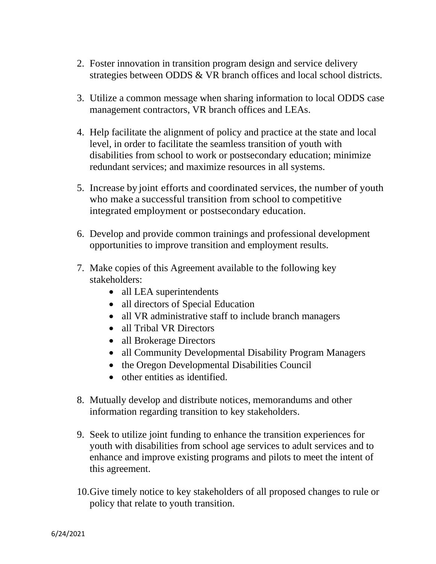- 2. Foster innovation in transition program design and service delivery strategies between ODDS & VR branch offices and local school districts.
- 3. Utilize a common message when sharing information to local ODDS case management contractors, VR branch offices and LEAs.
- 4. Help facilitate the alignment of policy and practice at the state and local level, in order to facilitate the seamless transition of youth with disabilities from school to work or postsecondary education; minimize redundant services; and maximize resources in all systems.
- 5. Increase by joint efforts and coordinated services, the number of youth who make a successful transition from school to competitive integrated employment or postsecondary education.
- 6. Develop and provide common trainings and professional development opportunities to improve transition and employment results.
- 7. Make copies of this Agreement available to the following key stakeholders:
	- all LEA superintendents
	- all directors of Special Education
	- all VR administrative staff to include branch managers
	- all Tribal VR Directors
	- all Brokerage Directors
	- all Community Developmental Disability Program Managers
	- the Oregon Developmental Disabilities Council
	- other entities as identified.
- 8. Mutually develop and distribute notices, memorandums and other information regarding transition to key stakeholders.
- 9. Seek to utilize joint funding to enhance the transition experiences for youth with disabilities from school age services to adult services and to enhance and improve existing programs and pilots to meet the intent of this agreement.
- 10.Give timely notice to key stakeholders of all proposed changes to rule or policy that relate to youth transition.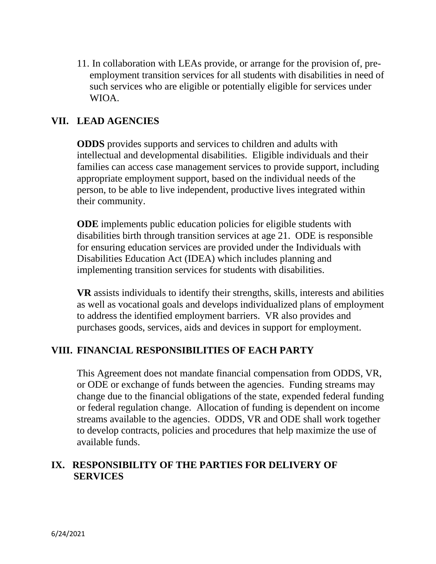11. In collaboration with LEAs provide, or arrange for the provision of, preemployment transition services for all students with disabilities in need of such services who are eligible or potentially eligible for services under WIOA.

## **VII. LEAD AGENCIES**

**ODDS** provides supports and services to children and adults with intellectual and developmental disabilities. Eligible individuals and their families can access case management services to provide support, including appropriate employment support, based on the individual needs of the person, to be able to live independent, productive lives integrated within their community.

**ODE** implements public education policies for eligible students with disabilities birth through transition services at age 21. ODE is responsible for ensuring education services are provided under the Individuals with Disabilities Education Act (IDEA) which includes planning and implementing transition services for students with disabilities.

**VR** assists individuals to identify their strengths, skills, interests and abilities as well as vocational goals and develops individualized plans of employment to address the identified employment barriers. VR also provides and purchases goods, services, aids and devices in support for employment.

### **VIII. FINANCIAL RESPONSIBILITIES OF EACH PARTY**

This Agreement does not mandate financial compensation from ODDS, VR, or ODE or exchange of funds between the agencies. Funding streams may change due to the financial obligations of the state, expended federal funding or federal regulation change. Allocation of funding is dependent on income streams available to the agencies. ODDS, VR and ODE shall work together to develop contracts, policies and procedures that help maximize the use of available funds.

## **IX. RESPONSIBILITY OF THE PARTIES FOR DELIVERY OF SERVICES**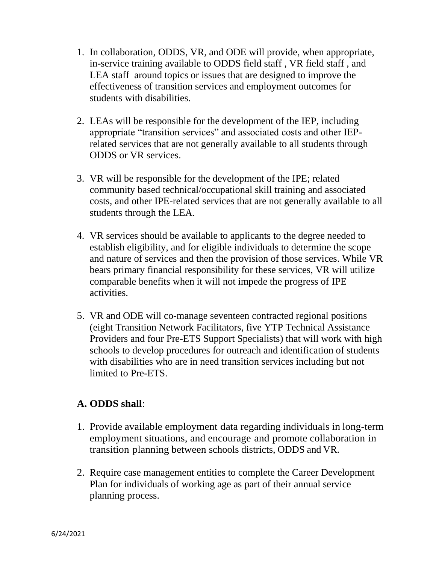- 1. In collaboration, ODDS, VR, and ODE will provide, when appropriate, in-service training available to ODDS field staff , VR field staff , and LEA staff around topics or issues that are designed to improve the effectiveness of transition services and employment outcomes for students with disabilities.
- 2. LEAs will be responsible for the development of the IEP, including appropriate "transition services" and associated costs and other IEPrelated services that are not generally available to all students through ODDS or VR services.
- 3. VR will be responsible for the development of the IPE; related community based technical/occupational skill training and associated costs, and other IPE-related services that are not generally available to all students through the LEA.
- 4. VR services should be available to applicants to the degree needed to establish eligibility, and for eligible individuals to determine the scope and nature of services and then the provision of those services. While VR bears primary financial responsibility for these services, VR will utilize comparable benefits when it will not impede the progress of IPE activities.
- 5. VR and ODE will co-manage seventeen contracted regional positions (eight Transition Network Facilitators, five YTP Technical Assistance Providers and four Pre-ETS Support Specialists) that will work with high schools to develop procedures for outreach and identification of students with disabilities who are in need transition services including but not limited to Pre-ETS.

### **A. ODDS shall**:

- 1. Provide available employment data regarding individuals in long-term employment situations, and encourage and promote collaboration in transition planning between schools districts, ODDS and VR.
- 2. Require case management entities to complete the Career Development Plan for individuals of working age as part of their annual service planning process.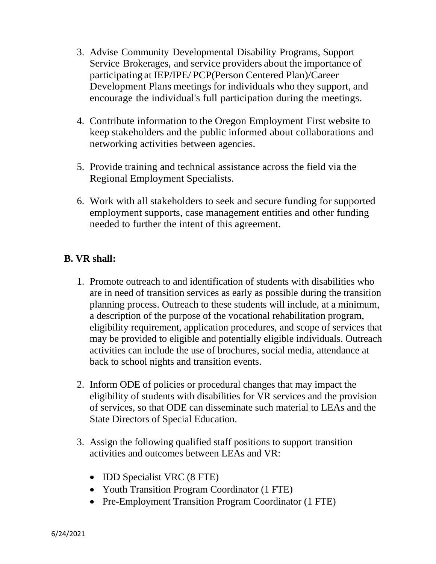- 3. Advise Community Developmental Disability Programs, Support Service Brokerages, and service providers about the importance of participating at IEP/IPE/ PCP(Person Centered Plan)/Career Development Plans meetings for individuals who they support, and encourage the individual's full participation during the meetings.
- 4. Contribute information to the Oregon Employment First website to keep stakeholders and the public informed about collaborations and networking activities between agencies.
- 5. Provide training and technical assistance across the field via the Regional Employment Specialists.
- 6. Work with all stakeholders to seek and secure funding for supported employment supports, case management entities and other funding needed to further the intent of this agreement.

## **B. VR shall:**

- 1. Promote outreach to and identification of students with disabilities who are in need of transition services as early as possible during the transition planning process. Outreach to these students will include, at a minimum, a description of the purpose of the vocational rehabilitation program, eligibility requirement, application procedures, and scope of services that may be provided to eligible and potentially eligible individuals. Outreach activities can include the use of brochures, social media, attendance at back to school nights and transition events.
- 2. Inform ODE of policies or procedural changes that may impact the eligibility of students with disabilities for VR services and the provision of services, so that ODE can disseminate such material to LEAs and the State Directors of Special Education.
- 3. Assign the following qualified staff positions to support transition activities and outcomes between LEAs and VR:
	- **IDD** Specialist VRC (8 FTE)
	- Youth Transition Program Coordinator (1 FTE)
	- Pre-Employment Transition Program Coordinator (1 FTE)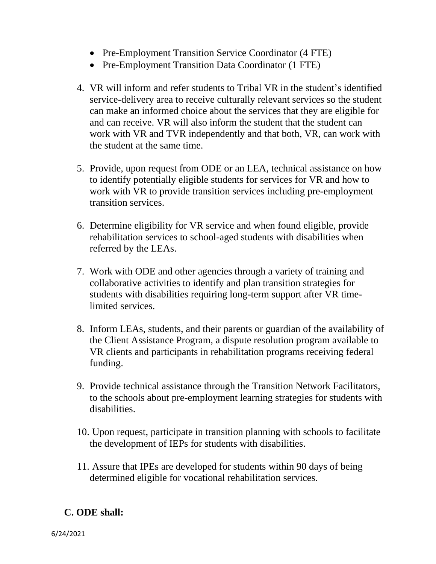- Pre-Employment Transition Service Coordinator (4 FTE)
- Pre-Employment Transition Data Coordinator (1 FTE)
- 4. VR will inform and refer students to Tribal VR in the student's identified service-delivery area to receive culturally relevant services so the student can make an informed choice about the services that they are eligible for and can receive. VR will also inform the student that the student can work with VR and TVR independently and that both, VR, can work with the student at the same time.
- 5. Provide, upon request from ODE or an LEA, technical assistance on how to identify potentially eligible students for services for VR and how to work with VR to provide transition services including pre-employment transition services.
- 6. Determine eligibility for VR service and when found eligible, provide rehabilitation services to school-aged students with disabilities when referred by the LEAs.
- 7. Work with ODE and other agencies through a variety of training and collaborative activities to identify and plan transition strategies for students with disabilities requiring long-term support after VR timelimited services.
- 8. Inform LEAs, students, and their parents or guardian of the availability of the Client Assistance Program, a dispute resolution program available to VR clients and participants in rehabilitation programs receiving federal funding.
- 9. Provide technical assistance through the Transition Network Facilitators, to the schools about pre-employment learning strategies for students with disabilities.
- 10. Upon request, participate in transition planning with schools to facilitate the development of IEPs for students with disabilities.
- 11. Assure that IPEs are developed for students within 90 days of being determined eligible for vocational rehabilitation services.

# **C. ODE shall:**

6/24/2021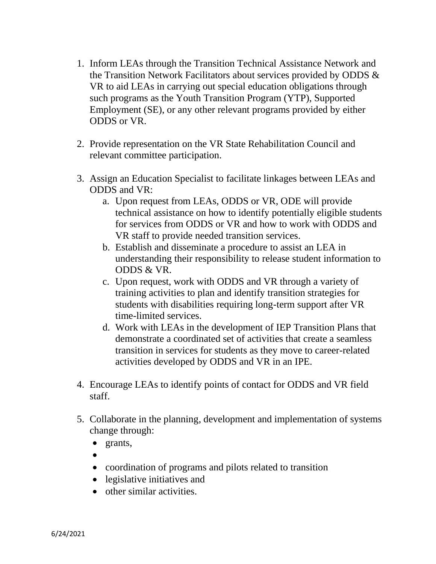- 1. Inform LEAs through the Transition Technical Assistance Network and the Transition Network Facilitators about services provided by ODDS & VR to aid LEAs in carrying out special education obligations through such programs as the Youth Transition Program (YTP), Supported Employment (SE), or any other relevant programs provided by either ODDS or VR.
- 2. Provide representation on the VR State Rehabilitation Council and relevant committee participation.
- 3. Assign an Education Specialist to facilitate linkages between LEAs and ODDS and VR:
	- a. Upon request from LEAs, ODDS or VR, ODE will provide technical assistance on how to identify potentially eligible students for services from ODDS or VR and how to work with ODDS and VR staff to provide needed transition services.
	- b. Establish and disseminate a procedure to assist an LEA in understanding their responsibility to release student information to ODDS & VR.
	- c. Upon request, work with ODDS and VR through a variety of training activities to plan and identify transition strategies for students with disabilities requiring long-term support after VR time-limited services.
	- d. Work with LEAs in the development of IEP Transition Plans that demonstrate a coordinated set of activities that create a seamless transition in services for students as they move to career-related activities developed by ODDS and VR in an IPE.
- 4. Encourage LEAs to identify points of contact for ODDS and VR field staff.
- 5. Collaborate in the planning, development and implementation of systems change through:
	- grants,
	- •
	- coordination of programs and pilots related to transition
	- legislative initiatives and
	- other similar activities.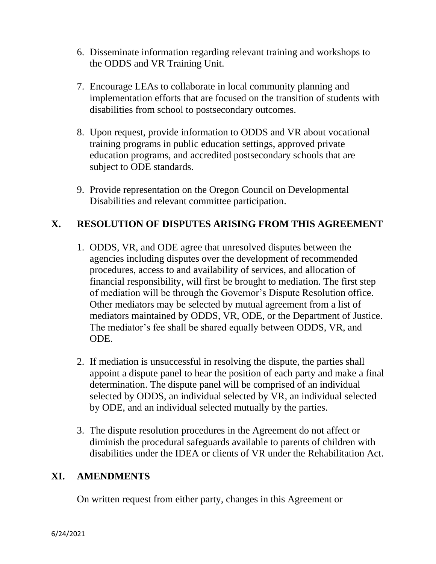- 6. Disseminate information regarding relevant training and workshops to the ODDS and VR Training Unit.
- 7. Encourage LEAs to collaborate in local community planning and implementation efforts that are focused on the transition of students with disabilities from school to postsecondary outcomes.
- 8. Upon request, provide information to ODDS and VR about vocational training programs in public education settings, approved private education programs, and accredited postsecondary schools that are subject to ODE standards.
- 9. Provide representation on the Oregon Council on Developmental Disabilities and relevant committee participation.

## **X. RESOLUTION OF DISPUTES ARISING FROM THIS AGREEMENT**

- 1. ODDS, VR, and ODE agree that unresolved disputes between the agencies including disputes over the development of recommended procedures, access to and availability of services, and allocation of financial responsibility, will first be brought to mediation. The first step of mediation will be through the Governor's Dispute Resolution office. Other mediators may be selected by mutual agreement from a list of mediators maintained by ODDS, VR, ODE, or the Department of Justice. The mediator's fee shall be shared equally between ODDS, VR, and ODE.
- 2. If mediation is unsuccessful in resolving the dispute, the parties shall appoint a dispute panel to hear the position of each party and make a final determination. The dispute panel will be comprised of an individual selected by ODDS, an individual selected by VR, an individual selected by ODE, and an individual selected mutually by the parties.
- 3. The dispute resolution procedures in the Agreement do not affect or diminish the procedural safeguards available to parents of children with disabilities under the IDEA or clients of VR under the Rehabilitation Act.

### **XI. AMENDMENTS**

On written request from either party, changes in this Agreement or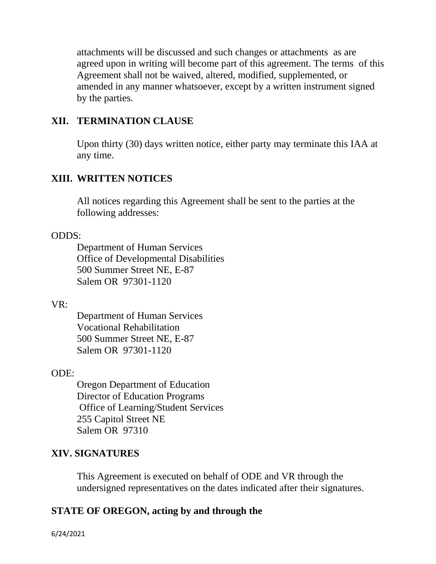attachments will be discussed and such changes or attachments as are agreed upon in writing will become part of this agreement. The terms of this Agreement shall not be waived, altered, modified, supplemented, or amended in any manner whatsoever, except by a written instrument signed by the parties.

## **XII. TERMINATION CLAUSE**

Upon thirty (30) days written notice, either party may terminate this IAA at any time.

### **XIII. WRITTEN NOTICES**

All notices regarding this Agreement shall be sent to the parties at the following addresses:

### ODDS:

Department of Human Services Office of Developmental Disabilities 500 Summer Street NE, E-87 Salem OR 97301-1120

### VR:

Department of Human Services Vocational Rehabilitation 500 Summer Street NE, E-87 Salem OR 97301-1120

### ODE:

Oregon Department of Education Director of Education Programs Office of Learning/Student Services 255 Capitol Street NE Salem OR 97310

## **XIV. SIGNATURES**

This Agreement is executed on behalf of ODE and VR through the undersigned representatives on the dates indicated after their signatures.

### **STATE OF OREGON, acting by and through the**

6/24/2021